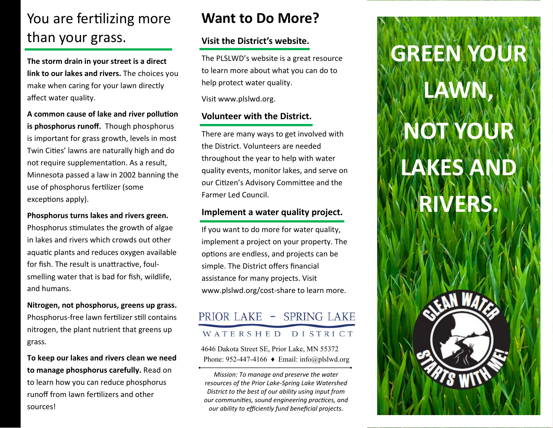# You are fertilizing more than your grass.

**The storm drain in your street is a direct link to our lakes and rivers.** The choices you make when caring for your lawn directly <sup>a</sup>ffect water quality.

A common cause of lake and river pollution **is phosphorus runoff.** Though phosphorus is important for grass growth, levels in most Twin Cities' lawns are naturally high and do not require supplementation. As a result, Minnesota passed a law in 2002 banning the use of phosphorus fertilizer (some exceptions apply).

**Phosphorus turns lakes and rivers green.**  Phosphorus stimulates the growth of algae in lakes and rivers which crowds out other aquatic plants and reduces oxygen available for fish. The result is unattractive, foulsmelling water that is bad for fish, wildlife, and humans.

**Nitrogen, not phosphorus, greens up grass.**  Phosphorus-free lawn fertilizer still contains nitrogen, the plant nutrient that greens up grass.

**To keep our lakes and rivers clean we need to manage phosphorus carefully.** Read on to learn how you can reduce phosphorus runoff from lawn fertilizers and other sources!

### **Want to Do More?**

#### **Visit the District's website.**

The PLSLWD's website is a great resource to learn more about what you can do to help protect water quality.

Visit www.plslwd.org.

#### **Volunteer with the District.**

There are many ways to get involved with the District. Volunteers are needed throughout the year to help with water quality events, monitor lakes, and serve on our Citizen's Advisory Committee and the Farmer Led Council.

#### **Implement a water quality project.**

If you want to do more for water quality, implement a project on your property. The options are endless, and projects can be simple. The District offers financial assistance for many projects. Visit www.plslwd.org/cost‐share to learn more.

#### PRIOR LAKE - SPRING LAKE WATERSHED DISTRICT

4646 Dakota Street SE, Prior Lake, MN 55372 Phone: 952-447-4166  $\triangle$  Email: info@plslwd.org

*Mission: To manage and preserve the water resources of the Prior Lake‐Spring Lake Watershed District to the best of our ability using input from our communiƟes, sound engineering pracƟces, and our ability to efficiently fund beneficial projects.*

# **GREEN YOUR**

**LAWN,** 

# **NOT YOUR LAKES AND**